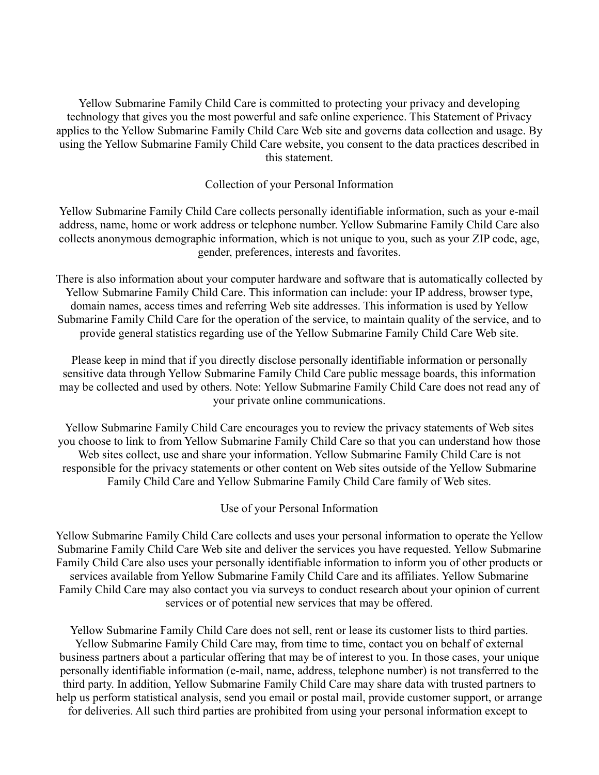Yellow Submarine Family Child Care is committed to protecting your privacy and developing technology that gives you the most powerful and safe online experience. This Statement of Privacy applies to the Yellow Submarine Family Child Care Web site and governs data collection and usage. By using the Yellow Submarine Family Child Care website, you consent to the data practices described in this statement.

#### Collection of your Personal Information

Yellow Submarine Family Child Care collects personally identifiable information, such as your e-mail address, name, home or work address or telephone number. Yellow Submarine Family Child Care also collects anonymous demographic information, which is not unique to you, such as your ZIP code, age, gender, preferences, interests and favorites.

There is also information about your computer hardware and software that is automatically collected by Yellow Submarine Family Child Care. This information can include: your IP address, browser type, domain names, access times and referring Web site addresses. This information is used by Yellow Submarine Family Child Care for the operation of the service, to maintain quality of the service, and to provide general statistics regarding use of the Yellow Submarine Family Child Care Web site.

Please keep in mind that if you directly disclose personally identifiable information or personally sensitive data through Yellow Submarine Family Child Care public message boards, this information may be collected and used by others. Note: Yellow Submarine Family Child Care does not read any of your private online communications.

Yellow Submarine Family Child Care encourages you to review the privacy statements of Web sites you choose to link to from Yellow Submarine Family Child Care so that you can understand how those Web sites collect, use and share your information. Yellow Submarine Family Child Care is not responsible for the privacy statements or other content on Web sites outside of the Yellow Submarine Family Child Care and Yellow Submarine Family Child Care family of Web sites.

Use of your Personal Information

Yellow Submarine Family Child Care collects and uses your personal information to operate the Yellow Submarine Family Child Care Web site and deliver the services you have requested. Yellow Submarine Family Child Care also uses your personally identifiable information to inform you of other products or services available from Yellow Submarine Family Child Care and its affiliates. Yellow Submarine Family Child Care may also contact you via surveys to conduct research about your opinion of current services or of potential new services that may be offered.

Yellow Submarine Family Child Care does not sell, rent or lease its customer lists to third parties. Yellow Submarine Family Child Care may, from time to time, contact you on behalf of external business partners about a particular offering that may be of interest to you. In those cases, your unique personally identifiable information (e-mail, name, address, telephone number) is not transferred to the third party. In addition, Yellow Submarine Family Child Care may share data with trusted partners to help us perform statistical analysis, send you email or postal mail, provide customer support, or arrange for deliveries. All such third parties are prohibited from using your personal information except to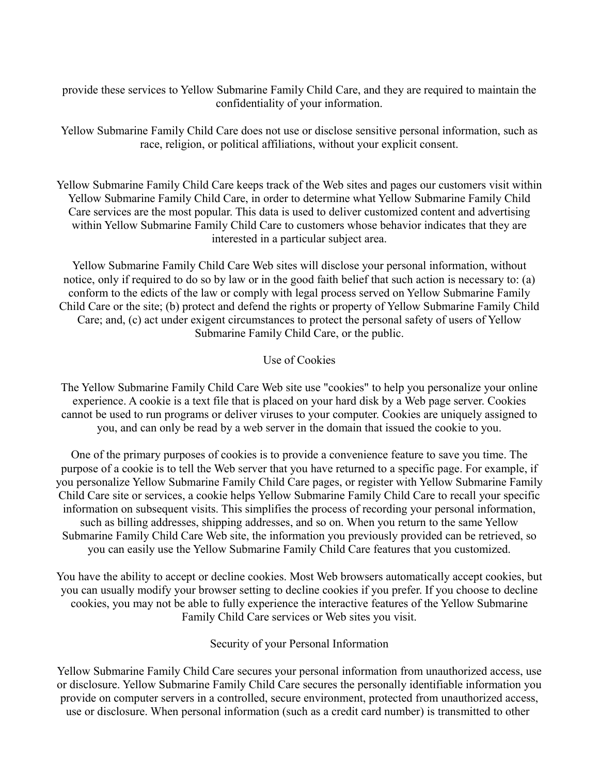provide these services to Yellow Submarine Family Child Care, and they are required to maintain the confidentiality of your information.

Yellow Submarine Family Child Care does not use or disclose sensitive personal information, such as race, religion, or political affiliations, without your explicit consent.

Yellow Submarine Family Child Care keeps track of the Web sites and pages our customers visit within Yellow Submarine Family Child Care, in order to determine what Yellow Submarine Family Child Care services are the most popular. This data is used to deliver customized content and advertising within Yellow Submarine Family Child Care to customers whose behavior indicates that they are interested in a particular subject area.

Yellow Submarine Family Child Care Web sites will disclose your personal information, without notice, only if required to do so by law or in the good faith belief that such action is necessary to: (a) conform to the edicts of the law or comply with legal process served on Yellow Submarine Family Child Care or the site; (b) protect and defend the rights or property of Yellow Submarine Family Child Care; and, (c) act under exigent circumstances to protect the personal safety of users of Yellow Submarine Family Child Care, or the public.

# Use of Cookies

The Yellow Submarine Family Child Care Web site use "cookies" to help you personalize your online experience. A cookie is a text file that is placed on your hard disk by a Web page server. Cookies cannot be used to run programs or deliver viruses to your computer. Cookies are uniquely assigned to you, and can only be read by a web server in the domain that issued the cookie to you.

One of the primary purposes of cookies is to provide a convenience feature to save you time. The purpose of a cookie is to tell the Web server that you have returned to a specific page. For example, if you personalize Yellow Submarine Family Child Care pages, or register with Yellow Submarine Family Child Care site or services, a cookie helps Yellow Submarine Family Child Care to recall your specific information on subsequent visits. This simplifies the process of recording your personal information, such as billing addresses, shipping addresses, and so on. When you return to the same Yellow Submarine Family Child Care Web site, the information you previously provided can be retrieved, so you can easily use the Yellow Submarine Family Child Care features that you customized.

You have the ability to accept or decline cookies. Most Web browsers automatically accept cookies, but you can usually modify your browser setting to decline cookies if you prefer. If you choose to decline cookies, you may not be able to fully experience the interactive features of the Yellow Submarine Family Child Care services or Web sites you visit.

Security of your Personal Information

Yellow Submarine Family Child Care secures your personal information from unauthorized access, use or disclosure. Yellow Submarine Family Child Care secures the personally identifiable information you provide on computer servers in a controlled, secure environment, protected from unauthorized access, use or disclosure. When personal information (such as a credit card number) is transmitted to other